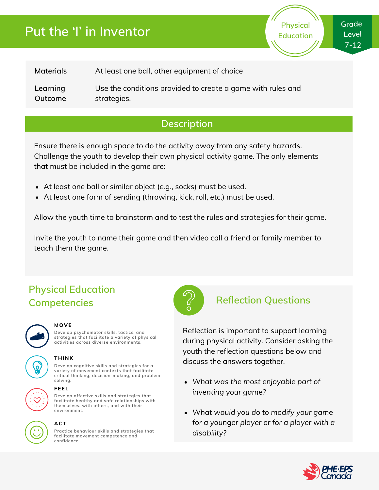# **Put the 'I' in Inventor**

**Physical Education** **Grade Level 7-12**

| Materials | At least one ball, other equipment of choice                |
|-----------|-------------------------------------------------------------|
| Learning  | Use the conditions provided to create a game with rules and |
| Outcome   | strategies.                                                 |

### **Description**

Ensure there is enough space to do the activity away from any safety hazards. Challenge the youth to develop their own physical activity game. The only elements that must be included in the game are:

- At least one ball or similar object (e.g., socks) must be used.
- At least one form of sending (throwing, kick, roll, etc.) must be used.

Allow the youth time to brainstorm and to test the rules and strategies for their game.

Invite the youth to name their game and then video call a friend or family member to teach them the game.

## **Physical Education Competencies Reflection Questions**



#### **MOVE**

**Develop psychomotor skills, tactics, and strategies that facilitate a variety of physical activities across diverse environments.**

#### **THINK**

**Develop cognitive skills and strategies for a variety of movement contexts that facilitate critical thinking, decision-making, and problem solving.**

#### **FEEL**

**Develop affective skills and strategies that facilitate healthy and safe relationships with themselves, with others, and with their environment.**



### **ACT**

**Practice behaviour skills and strategies that facilitate movement competence and confidence.**



Reflection is important to support learning during physical activity. Consider asking the youth the reflection questions below and discuss the answers together.

- *What was the most enjoyable part of inventing your game?*
- *What would you do to modify your game for a younger player or for a player with a disability?*